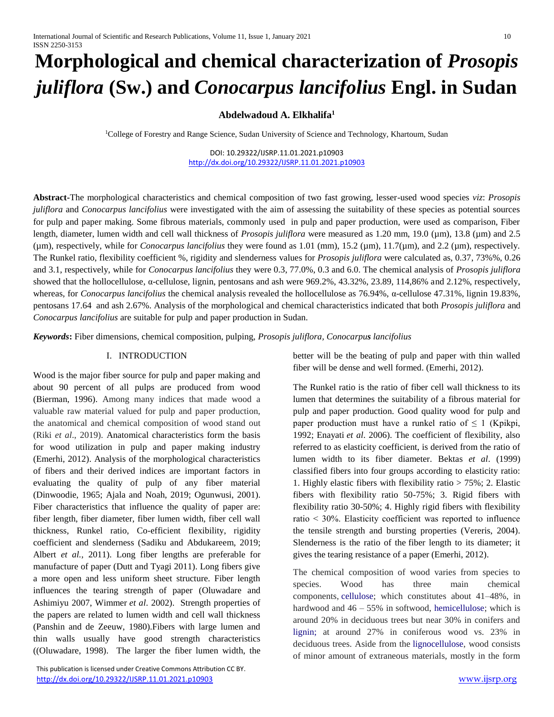# **Morphological and chemical characterization of** *Prosopis juliflora* **(Sw.) and** *Conocarpus lancifolius* **Engl. in Sudan**

# **Abdelwadoud A. Elkhalifa<sup>1</sup>**

<sup>1</sup>College of Forestry and Range Science, Sudan University of Science and Technology, Khartoum, Sudan

DOI: 10.29322/IJSRP.11.01.2021.p10903 <http://dx.doi.org/10.29322/IJSRP.11.01.2021.p10903>

**Abstract-**The morphological characteristics and chemical composition of two fast growing, lesser-used wood species *viz*: *Prosopis juliflora* and *Conocarpus lancifolius* were investigated with the aim of assessing the suitability of these species as potential sources for pulp and paper making. Some fibrous materials, commonly used in pulp and paper production, were used as comparison, Fiber length, diameter, lumen width and cell wall thickness of *Prosopis juliflora* were measured as 1.20 mm, 19.0 (µm), 13.8 (µm) and 2.5  $(\mu m)$ , respectively, while for *Conocarpus lancifolius* they were found as 1.01 (mm), 15.2  $(\mu m)$ , 11.7 $(\mu m)$ , and 2.2  $(\mu m)$ , respectively. The Runkel ratio, flexibility coefficient %, rigidity and slenderness values for *Prosopis juliflora* were calculated as, 0.37, 73%%, 0.26 and 3.1, respectively, while for *Conocarpus lancifolius* they were 0.3, 77.0%, 0.3 and 6.0. The chemical analysis of *Prosopis juliflora*  showed that the hollocellulose, α-cellulose, lignin, pentosans and ash were 969.2%, 43.32%, 23.89, 114,86% and 2.12%, respectively, whereas, for *Conocarpus lancifolius* the chemical analysis revealed the hollocellulose as 76.94%, α-cellulose 47.31%, lignin 19.83%, pentosans 17.64 and ash 2.67%. Analysis of the morphological and chemical characteristics indicated that both *Prosopis juliflora* and *Conocarpus lancifolius* are suitable for pulp and paper production in Sudan.

*Keywords***:** Fiber dimensions, chemical composition, pulping, *Prosopis juliflora, Conocarpus lancifolius*

#### Ⅰ. INTRODUCTION

Wood is the major fiber source for pulp and paper making and about 90 percent of all pulps are produced from wood (Bierman, 1996). Among many indices that made wood a valuable raw material valued for pulp and paper production, the anatomical and chemical composition of wood stand out (Riki *et al*., 2019). Anatomical characteristics form the basis for wood utilization in pulp and paper making industry (Emerhi, 2012). Analysis of the morphological characteristics of fibers and their derived indices are important factors in evaluating the quality of pulp of any fiber material (Dinwoodie, 1965; Ajala and Noah, 2019; Ogunwusi, 2001). Fiber characteristics that influence the quality of paper are: fiber length, fiber diameter, fiber lumen width, fiber cell wall thickness, Runkel ratio, Co-efficient flexibility, rigidity coefficient and slenderness (Sadiku and Abdukareem, 2019; Albert *et al.,* 2011). Long fiber lengths are preferable for manufacture of paper (Dutt and Tyagi 2011). Long fibers give a more open and less uniform sheet structure. Fiber length influences the tearing strength of paper (Oluwadare and Ashimiyu 2007, Wimmer *et al*. 2002). Strength properties of the papers are related to lumen width and cell wall thickness (Panshin and de Zeeuw, 1980).Fibers with large lumen and thin walls usually have good strength characteristics ((Oluwadare, 1998). The larger the fiber lumen width, the

 This publication is licensed under Creative Commons Attribution CC BY. <http://dx.doi.org/10.29322/IJSRP.11.01.2021.p10903> [www.ijsrp.org](http://ijsrp.org/)

better will be the beating of pulp and paper with thin walled fiber will be dense and well formed. (Emerhi, 2012).

The Runkel ratio is the ratio of fiber cell wall thickness to its lumen that determines the suitability of a fibrous material for pulp and paper production. Good quality wood for pulp and paper production must have a runkel ratio of  $\leq 1$  (Kpikpi, 1992; Enayati *et al*. 2006). The coefficient of flexibility, also referred to as elasticity coefficient, is derived from the ratio of lumen width to its fiber diameter. Bektas *et al*. (1999) classified fibers into four groups according to elasticity ratio: 1. Highly elastic fibers with flexibility ratio > 75%; 2. Elastic fibers with flexibility ratio 50-75%; 3. Rigid fibers with flexibility ratio 30-50%; 4. Highly rigid fibers with flexibility ratio ˂ 30%. Elasticity coefficient was reported to influence the tensile strength and bursting properties (Vereris, 2004). Slenderness is the ratio of the fiber length to its diameter; it gives the tearing resistance of a paper (Emerhi, 2012).

The chemical composition of wood varies from species to species. Wood has three main chemical components, [cellulose;](https://en.wikipedia.org/wiki/Cellulose) which constitutes about 41–48%, in hardwood and  $46 - 55\%$  in softwood, [hemicellulose;](https://en.wikipedia.org/wiki/Hemicellulose) which is around 20% in deciduous trees but near 30% in conifers and lignin; at around 27% in coniferous wood vs. 23% in deciduous trees. Aside from the [lignocellulose,](https://en.wikipedia.org/wiki/Lignocellulosic_biomass) wood consists of minor amount of extraneous materials, mostly in the form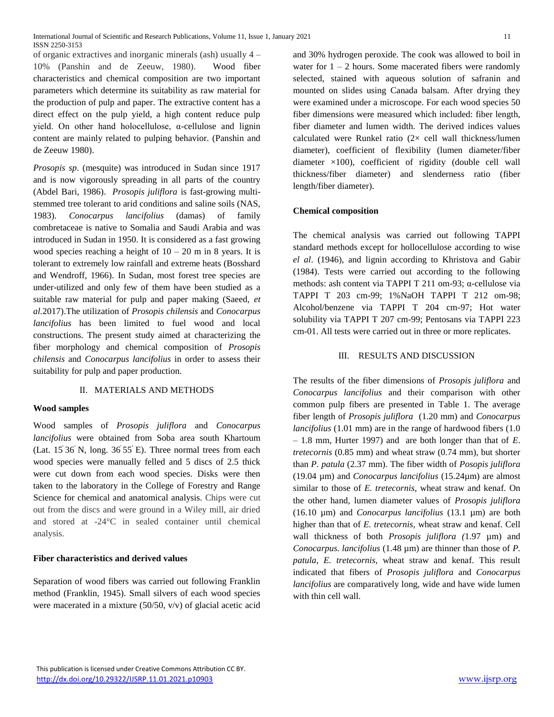of organic extractives and inorganic minerals (ash) usually 4 – 10% (Panshin and de Zeeuw, 1980). Wood fiber characteristics and chemical composition are two important parameters which determine its suitability as raw material for the production of pulp and paper. The extractive content has a direct effect on the pulp yield, a high content reduce pulp yield. On other hand holocellulose, α-cellulose and lignin content are mainly related to pulping behavior. (Panshin and de Zeeuw 1980).

*Prosopis sp*. (mesquite) was introduced in Sudan since 1917 and is now vigorously spreading in all parts of the country (Abdel Bari, 1986). *Prosopis juliflora* is fast-growing multistemmed tree tolerant to arid conditions and saline soils (NAS, 1983). *Conocarpus lancifolius* (damas) of family combretaceae is native to Somalia and Saudi Arabia and was introduced in Sudan in 1950. It is considered as a fast growing wood species reaching a height of  $10 - 20$  m in 8 years. It is tolerant to extremely low rainfall and extreme heats (Bosshard and Wendroff, 1966). In Sudan, most forest tree species are under-utilized and only few of them have been studied as a suitable raw material for pulp and paper making (Saeed, *et al.*2017).The utilization of *Prosopis chilensis* and *Conocarpus lancifolius* has been limited to fuel wood and local constructions. The present study aimed at characterizing the fiber morphology and chemical composition of *Prosopis chilensis* and *Conocarpus lancifolius* in order to assess their suitability for pulp and paper production.

# Ⅱ. MATERIALS AND METHODS

# **Wood samples**

Wood samples of *Prosopis juliflora* and *Conocarpus lancifolius* were obtained from Soba area south Khartoum (Lat.  $15^{\circ}36^{\prime}$  N, long.  $36^{\circ}55^{\prime}$  E). Three normal trees from each wood species were manually felled and 5 discs of 2.5 thick were cut down from each wood species. Disks were then taken to the laboratory in the College of Forestry and Range Science for chemical and anatomical analysis. Chips were cut out from the discs and were ground in a Wiley mill, air dried and stored at -24°C in sealed container until chemical analysis.

#### **Fiber characteristics and derived values**

Separation of wood fibers was carried out following Franklin method (Franklin, 1945). Small silvers of each wood species were macerated in a mixture (50/50, v/v) of glacial acetic acid and 30% hydrogen peroxide. The cook was allowed to boil in water for  $1 - 2$  hours. Some macerated fibers were randomly selected, stained with aqueous solution of safranin and mounted on slides using Canada balsam. After drying they were examined under a microscope. For each wood species 50 fiber dimensions were measured which included: fiber length, fiber diameter and lumen width. The derived indices values calculated were Runkel ratio  $(2 \times$  cell wall thickness/lumen diameter), coefficient of flexibility (lumen diameter/fiber diameter ×100), coefficient of rigidity (double cell wall thickness/fiber diameter) and slenderness ratio (fiber length/fiber diameter).

#### **Chemical composition**

The chemical analysis was carried out following TAPPI standard methods except for hollocellulose according to wise *el al*. (1946), and lignin according to Khristova and Gabir (1984). Tests were carried out according to the following methods: ash content via TAPPI T 211 om-93; α-cellulose via TAPPI T 203 cm-99; 1%NaOH TAPPI T 212 om-98; Alcohol/benzene via TAPPI T 204 cm-97; Hot water solubility via TAPPI T 207 cm-99; Pentosans via TAPPI 223 cm-01. All tests were carried out in three or more replicates.

### Ⅲ. RESULTS AND DISCUSSION

The results of the fiber dimensions of *Prosopis juliflora* and *Conocarpus lancifolius* and their comparison with other common pulp fibers are presented in Table 1. The average fiber length of *Prosopis juliflora* (1.20 mm) and *Conocarpus lancifolius* (1.01 mm) are in the range of hardwood fibers (1.0 – 1.8 mm, Hurter 1997) and are both longer than that of *E*. *tretecornis* (0.85 mm) and wheat straw (0.74 mm), but shorter than *P. patula* (2.37 mm). The fiber width of *Posopis juliflora*  (19.04 µm) and *Conocarpus lancifolius* (15.24µm) are almost similar to those of *E. tretecornis*, wheat straw and kenaf. On the other hand, lumen diameter values of *Prosopis juliflora*  (16.10 µm) and *Conocarpus lancifolius* (13.1 µm) are both higher than that of *E. tretecornis*, wheat straw and kenaf. Cell wall thickness of both *Prosopis juliflora (*1.97 µm) and *Conocarpus. lancifolius* (1.48 µm) are thinner than those of *P. patula*, *E. tretecornis,* wheat straw and kenaf. This result indicated that fibers of *Prosopis juliflora* and *Conocarpus lancifolius* are comparatively long, wide and have wide lumen with thin cell wall.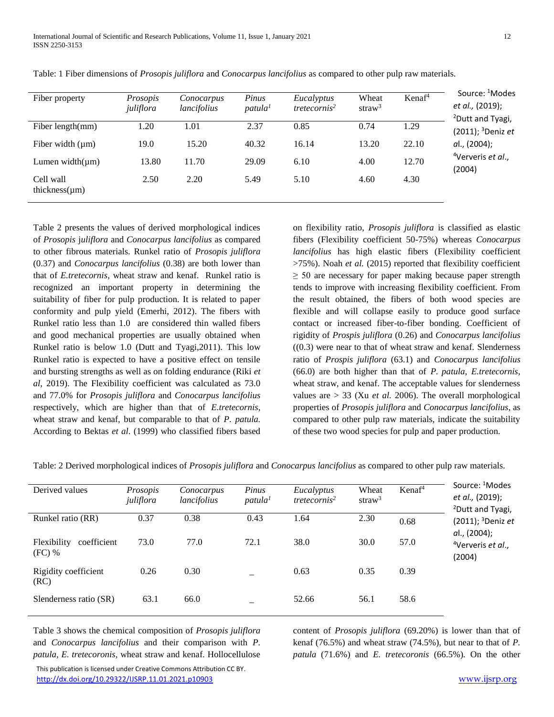| Fiber property                   | Prosopis<br>juliflora | Conocarpus<br>lancifolius | Pinus<br>$p$ atula <sup>1</sup> | Eucalyptus<br>tretecornis <sup>2</sup> | Wheat<br>straw <sup>3</sup> | Kenaf <sup>4</sup> | Source: <sup>1</sup> Modes<br>et al., (2019);<br><sup>2</sup> Dutt and Tyagi,<br>$(2011)$ ; <sup>3</sup> Deniz et |
|----------------------------------|-----------------------|---------------------------|---------------------------------|----------------------------------------|-----------------------------|--------------------|-------------------------------------------------------------------------------------------------------------------|
| Fiber length(mm)                 | 1.20                  | 1.01                      | 2.37                            | 0.85                                   | 0.74                        | 1.29               |                                                                                                                   |
| Fiber width $(\mu m)$            | 19.0                  | 15.20                     | 40.32                           | 16.14                                  | 13.20                       | 22.10              | al., (2004);                                                                                                      |
| Lumen width $(\mu m)$            | 13.80                 | 11.70                     | 29.09                           | 6.10                                   | 4.00                        | 12.70              | <sup>4</sup> Ververis et al.,<br>(2004)                                                                           |
| Cell wall<br>thickness $(\mu m)$ | 2.50                  | 2.20                      | 5.49                            | 5.10                                   | 4.60                        | 4.30               |                                                                                                                   |

Table: 1 Fiber dimensions of *Prosopis juliflora* and *Conocarpus lancifolius* as compared to other pulp raw materials.

Table 2 presents the values of derived morphological indices of *Prosopis* j*uliflora* and *Conocarpus lancifolius* as compared to other fibrous materials. Runkel ratio of *Prosopis juliflora*  (0.37) and *Conocarpus lancifolius* (0.38) are both lower than that of *E.tretecornis*, wheat straw and kenaf. Runkel ratio is recognized an important property in determining the suitability of fiber for pulp production. It is related to paper conformity and pulp yield (Emerhi, 2012). The fibers with Runkel ratio less than 1.0 are considered thin walled fibers and good mechanical properties are usually obtained when Runkel ratio is below 1.0 (Dutt and Tyagi,2011). This low Runkel ratio is expected to have a positive effect on tensile and bursting strengths as well as on folding endurance (Riki *et al*, 2019). The Flexibility coefficient was calculated as 73.0 and 77.0% for *Prosopis juliflora* and *Conocarpus lancifolius*  respectively, which are higher than that of *E.tretecornis*, wheat straw and kenaf, but comparable to that of *P. patula.* According to Bektas *et al*. (1999) who classified fibers based

on flexibility ratio, *Prosopis juliflora* is classified as elastic fibers (Flexibility coefficient 50-75%) whereas *Conocarpus lancifolius* has high elastic fibers (Flexibility coefficient >75%). Noah *et al.* (2015) reported that flexibility coefficient  $\geq$  50 are necessary for paper making because paper strength tends to improve with increasing flexibility coefficient. From the result obtained, the fibers of both wood species are flexible and will collapse easily to produce good surface contact or increased fiber-to-fiber bonding. Coefficient of rigidity of *Prospis juliflora* (0.26) and *Conocarpus lancifolius*  $((0.3)$  were near to that of wheat straw and kenaf. Slenderness ratio of *Prospis juliflora* (63.1) and *Conocarpus lancifolius* (66.0) are both higher than that of *P. patula, E.tretecornis*, wheat straw, and kenaf. The acceptable values for slenderness values are > 33 (Xu *et al.* 2006). The overall morphological properties of *Prosopis juliflora* and *Conocarpus lancifolius*, as compared to other pulp raw materials, indicate the suitability of these two wood species for pulp and paper production.

Table: 2 Derived morphological indices of *Prosopis juliflora* and *Conocarpus lancifolius* as compared to other pulp raw materials.

| Derived values                         | Prosopis<br>juliflora | Conocarpus<br>lancifolius | Pinus<br>$p$ atula <sup>1</sup> | Eucalyptus<br>tretecornis <sup>2</sup> | Wheat<br>straw <sup>3</sup> | Kenaf <sup>4</sup> | Source: <sup>1</sup> Modes<br>et al., (2019);<br><sup>2</sup> Dutt and Tyagi, |
|----------------------------------------|-----------------------|---------------------------|---------------------------------|----------------------------------------|-----------------------------|--------------------|-------------------------------------------------------------------------------|
| Runkel ratio (RR)                      | 0.37                  | 0.38                      | 0.43                            | 1.64                                   | 2.30                        | 0.68               | $(2011)$ ; <sup>3</sup> Deniz et<br>al., (2004);                              |
| coefficient<br>Flexibility<br>$(FC)$ % | 73.0                  | 77.0                      | 72.1                            | 38.0                                   | 30.0                        | 57.0               | <sup>4</sup> Ververis et al.,<br>(2004)                                       |
| Rigidity coefficient<br>(RC)           | 0.26                  | 0.30                      |                                 | 0.63                                   | 0.35                        | 0.39               |                                                                               |
| Slenderness ratio (SR)                 | 63.1                  | 66.0                      |                                 | 52.66                                  | 56.1                        | 58.6               |                                                                               |

Table 3 shows the chemical composition of *Prosopis juliflora* and *Conocarpus lancifolius* and their comparison with *P. patula, E. tretecoronis*, wheat straw and kenaf. Hollocellulose

 This publication is licensed under Creative Commons Attribution CC BY. <http://dx.doi.org/10.29322/IJSRP.11.01.2021.p10903> [www.ijsrp.org](http://ijsrp.org/)

content of *Prosopis juliflora* (69.20%) is lower than that of kenaf (76.5%) and wheat straw (74.5%), but near to that of *P. patula* (71.6%) and *E. tretecoronis* (66.5%)*.* On the other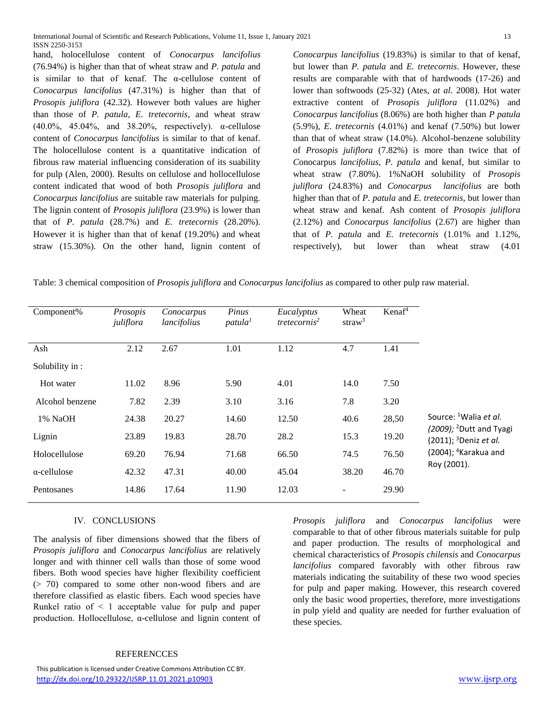hand, holocellulose content of *Conocarpus lancifolius* (76.94%) is higher than that of wheat straw and *P. patula* and is similar to that of kenaf. The α-cellulose content of *Conocarpus lancifolius* (47.31%) is higher than that of *Prosopis juliflora* (42.32). However both values are higher than those of *P. patula, E. tretecornis*, and wheat straw (40.0%, 45.04%, and 38.20%, respectively).  $\alpha$ -cellulose content of *Conocarpus lancifolius* is similar to that of kenaf. The holocellulose content is a quantitative indication of fibrous raw material influencing consideration of its suability for pulp (Alen, 2000). Results on cellulose and hollocellulose content indicated that wood of both *Prosopis juliflora* and *Conocarpus lancifolius* are suitable raw materials for pulping. The lignin content of *Prosopis juliflora* (23.9%) is lower than that of *P. patula* (28.7%) and *E. tretecornis* (28.20%). However it is higher than that of kenaf (19.20%) and wheat straw (15.30%). On the other hand, lignin content of

*Conocarpus lancifolius* (19.83%) is similar to that of kenaf, but lower than *P. patula* and *E. tretecornis*. However, these results are comparable with that of hardwoods (17-26) and lower than softwoods (25-32) (Ates, *at al*. 2008). Hot water extractive content of *Prosopis juliflora* (11.02%) and *Conocarpus lancifolius* (8.06%) are both higher than *P patula* (5.9%), *E*. *tretecornis* (4.01%) and kenaf (7.50%) but lower than that of wheat straw (14.0%). Alcohol-benzene solubility of *Prosopis juliflora* (7.82%) is more than twice that of *C*onocarpus *lancifolius*, *P. patula* and kenaf, but similar to wheat straw (7.80%). 1%NaOH solubility of *Prosopis juliflora* (24.83%) and *Conocarpus lancifolius* are both higher than that of *P. patula* and *E. tretecornis,* but lower than wheat straw and kenaf*.* Ash content of *Prosopis juliflora* (2.12%) and *Conocarpus lancifolius* (2.67) are higher than that of *P. patula* and *E. tretecornis* (1.01% and 1.12%, respectively), but lower than wheat straw (4.01

Table: 3 chemical composition of *Prosopis juliflora* and *Conocarpus lancifolius* as compared to other pulp raw material.

| Component%          | Prosopis<br>juliflora | Conocarpus<br>lancifolius | Pinus<br>patula <sup>1</sup> | Eucalyptus<br>tretecornis <sup>2</sup> | Wheat<br>straw <sup>3</sup> | Kenaf <sup>4</sup> |                                                                                                                                                                     |
|---------------------|-----------------------|---------------------------|------------------------------|----------------------------------------|-----------------------------|--------------------|---------------------------------------------------------------------------------------------------------------------------------------------------------------------|
|                     |                       |                           |                              |                                        |                             |                    |                                                                                                                                                                     |
| Ash                 | 2.12                  | 2.67                      | 1.01                         | 1.12                                   | 4.7                         | 1.41               |                                                                                                                                                                     |
| Solubility in:      |                       |                           |                              |                                        |                             |                    |                                                                                                                                                                     |
| Hot water           | 11.02                 | 8.96                      | 5.90                         | 4.01                                   | 14.0                        | 7.50               |                                                                                                                                                                     |
| Alcohol benzene     | 7.82                  | 2.39                      | 3.10                         | 3.16                                   | 7.8                         | 3.20               | Source: <sup>1</sup> Walia et al.<br>$(2009)$ ; <sup>2</sup> Dutt and Tyagi<br>(2011); <sup>3</sup> Deniz et al.<br>(2004); <sup>4</sup> Karakua and<br>Roy (2001). |
| 1% NaOH             | 24.38                 | 20.27                     | 14.60                        | 12.50                                  | 40.6                        | 28,50              |                                                                                                                                                                     |
| Lignin              | 23.89                 | 19.83                     | 28.70                        | 28.2                                   | 15.3                        | 19.20              |                                                                                                                                                                     |
| Holocellulose       | 69.20                 | 76.94                     | 71.68                        | 66.50                                  | 74.5                        | 76.50              |                                                                                                                                                                     |
| $\alpha$ -cellulose | 42.32                 | 47.31                     | 40.00                        | 45.04                                  | 38.20                       | 46.70              |                                                                                                                                                                     |
| Pentosanes          | 14.86                 | 17.64                     | 11.90                        | 12.03                                  |                             | 29.90              |                                                                                                                                                                     |

#### Ⅳ. CONCLUSIONS

The analysis of fiber dimensions showed that the fibers of *Prosopis juliflora* and *Conocarpus lancifolius* are relatively longer and with thinner cell walls than those of some wood fibers. Both wood species have higher flexibility coefficient (> 70) compared to some other non-wood fibers and are therefore classified as elastic fibers. Each wood species have Runkel ratio of  $\leq 1$  acceptable value for pulp and paper production. Hollocellulose, α-cellulose and lignin content of *Prosopis juliflora* and *Conocarpus lancifolius* were comparable to that of other fibrous materials suitable for pulp and paper production. The results of morphological and chemical characteristics of *Prosopis chilensis* and *Conocarpus lancifolius* compared favorably with other fibrous raw materials indicating the suitability of these two wood species for pulp and paper making. However, this research covered only the basic wood properties, therefore, more investigations in pulp yield and quality are needed for further evaluation of these species.

#### REFERENCCES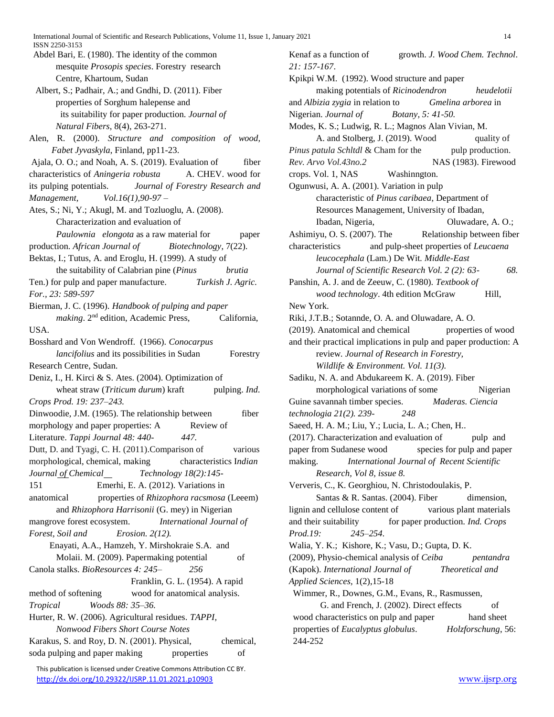ISSN 2250-3153

- Abdel Bari, E. (1980). The identity of the common \_\_\_\_\_mesquite *Prosopis species*. Forestry\_research \_\_\_\_\_Centre, Khartoum, Sudan
- Albert, S.; Padhair, A.; and Gndhi, D. (2011). Fiber \_\_\_\_\_properties of Sorghum halepense and \_\_\_\_\_\_its suitability for paper production. *Journal of*  \_\_\_\_\_*Natural Fibers*, 8(4), 263-271.
- Alen, R. (2000). *Structure and composition of wood,*  \_\_\_\_\_*Fabet Jyvaskyla*, Finland, pp11-23.
- Ajala, O. O.; and Noah, A. S. (2019). Evaluation of fiber
- characteristics of *Aningeria robusta* \_\_\_\_\_A. CHEV. wood for its pulping potentials. \_\_\_\_\_*Journal of Forestry Research and*
- *Management,* \_\_\_\_\_*Vol.16(1),90-97 –*
- Ates, S.; Ni, Y.; Akugl, M. and Tozluoglu, A. (2008). \_\_\_\_\_\_Characterization and evaluation of
- \_\_\_\_\_\_*Paulownia elongota* as a raw material for \_\_\_\_\_\_paper production. *African Journal of* \_\_\_\_\_\_*Biotechnology*, 7(22).
- Bektas, I.; Tutus, A. and Eroglu, H. (1999). A study of \_\_\_\_\_\_the suitability of Calabrian pine (*Pinus* \_\_\_\_\_\_*brutia*
- Ten.) for pulp and paper manufacture. \_\_\_\_\_\_*Turkish J. Agric. For., 23: 589-597*
- Bierman, J. C. (1996). *Handbook of pulping and paper*  making. 2<sup>nd</sup> edition, Academic Press, California, USA.
- Bosshard and Von Wendroff. (1966). *Conocarpus*  \_\_\_\_\_\_*lancifolius* and its possibilities in Sudan \_\_\_\_\_\_Forestry Research Centre, Sudan.
- Deniz, I., H. Kirci & S. Ates. (2004). Optimization of wheat straw *(Triticum durum)* kraft pulping. *Ind.*
- *Crops Prod. 19: 237–243.*
- Dinwoodie, J.M. (1965). The relationship between fiber morphology and paper properties: A \_\_\_\_\_\_Review of
- Literature. *Tappi Journal 48: 440-*\_\_\_\_\_\_*447.*
- Dutt, D. and Tyagi, C. H. (2011). Comparison of various morphological, chemical, making \_\_\_\_\_\_characteristics I*ndian*
- *Journal of Chemical* \_\_\_\_\_\_*Technology 18(2):145*-
- 151 Emerhi, E. A. (2012). Variations in
- anatomical \_\_\_\_\_\_properties of *Rhizophora racsmosa* (Leeem) \_\_\_\_\_\_and *Rhizophora Harrisonii* (G. mey) in Nigerian
- mangrove forest ecosystem. \_\_\_\_\_\_*International Journal of Forest, Soil and* \_\_\_\_\_\_*Erosion. 2(12).*
- Enayati, A.A., Hamzeh, Y. Mirshokraie S.A. and Molaii. M. (2009). Papermaking potential of
- Canola stalks. *BioResources 4: 245–*\_\_\_\_\_\_*256*  Franklin, G. L. (1954). A rapid method of softening wood for anatomical analysis.
- *Tropical* \_\_\_\_\_\_*Woods 88: 35–36.*
- Hurter, R. W. (2006). Agricultural residues. *TAPPI,*  \_\_\_\_\_\_*Nonwood Fibers Short Course Notes*
- Karakus, S. and Roy, D. N. (2001). Physical, chemical, soda pulping and paper making properties of

 This publication is licensed under Creative Commons Attribution CC BY. <http://dx.doi.org/10.29322/IJSRP.11.01.2021.p10903> [www.ijsrp.org](http://ijsrp.org/)

*21: 157-167*. Kpikpi W.M. (1992). Wood structure and paper \_\_\_\_\_\_making potentials of *Ricinodendron* \_\_\_\_\_\_*heudelotii* and *Albizia zygia* in relation to \_\_\_\_\_\_*Gmelina arborea* in Nigerian. *Journal of Botany*, 5: 41-50. Modes, K. S.; Ludwig, R. L.; Magnos Alan Vivian, M. A. and Stolberg, J. (2019). Wood quality of *Pinus patula Schltdl & Cham for the* pulp production. *Rev. Arvo Vol.43no.2* NAS (1983). Firewood crops. Vol. 1, NAS \_\_\_\_\_\_Washinngton. Ogunwusi, A. A. (2001). Variation in pulp \_\_\_\_\_\_characteristic of *Pinus caribaea*, Department of Resources Management, University of Ibadan, Ibadan, Nigeria, Oluwadare, A. O.; Ashimiyu, O. S. (2007). The Relationship between fiber characteristics \_\_\_\_\_\_and pulp-sheet properties of *Leucaena*  \_\_\_\_\_\_*leucocephala* (Lam.) De Wit*. Middle-East*  \_\_\_\_\_\_*Journal of Scientific Research Vol. 2 (2): 63-*\_\_\_\_\_\_*68.*  Panshin, A. J. and de Zeeuw, C. (1980). *Textbook of*  wood technology. 4th edition McGraw **Hill**, New York. Riki, J.T.B.; Sotannde, O. A. and Oluwadare, A. O. (2019). Anatomical and chemical properties of wood and their practical implications in pulp and paper production: A \_\_\_\_\_\_review*. Journal of Research in Forestry,*  \_\_\_\_\_\_*Wildlife & Environment. Vol. 11(3).*  Sadiku, N. A. and Abdukareem K. A. (2019). Fiber morphological variations of some Nigerian Guine savannah timber species. \_\_\_\_\_\_*Maderas. Ciencia technologia 21(2). 239-*\_\_\_\_\_\_*248*  Saeed, H. A. M.; Liu, Y.; Lucia, L. A.; Chen, H.. (2017). Characterization and evaluation of pulp and paper from Sudanese wood species for pulp and paper making. \_\_\_\_\_\_*International Journal of*\_*Recent Scientific*  \_\_\_\_\_\_*Research, Vol 8, issue 8.* Ververis, C., K. Georghiou, N. Christodoulakis, P. Santas & R. Santas.  $(2004)$ . Fiber dimension, lignin and cellulose content of various plant materials and their suitability \_\_\_\_\_\_for paper production. *Ind. Crops Prod.19:* \_\_\_\_\_\_*245–254.*  Walia, Y. K.; Kishore, K.; Vasu, D.; Gupta, D. K. (2009), Physio-chemical analysis of *Ceiba* \_\_\_\_\_\_*pentandra* (Kapok). *International Journal of* \_\_\_\_\_\_*Theoretical and Applied Sciences,* 1(2),15-18 Wimmer, R., Downes, G.M., Evans, R., Rasmussen, G. and French, J. (2002). Direct effects of wood characteristics on pulp and paper hand sheet properties of *Eucalyptus globulus*. \_\_\_\_\_\_*Holzforschung*, 56: 244-252

Kenaf as a function of \_\_\_\_\_\_growth. *J. Wood Chem. Technol*.